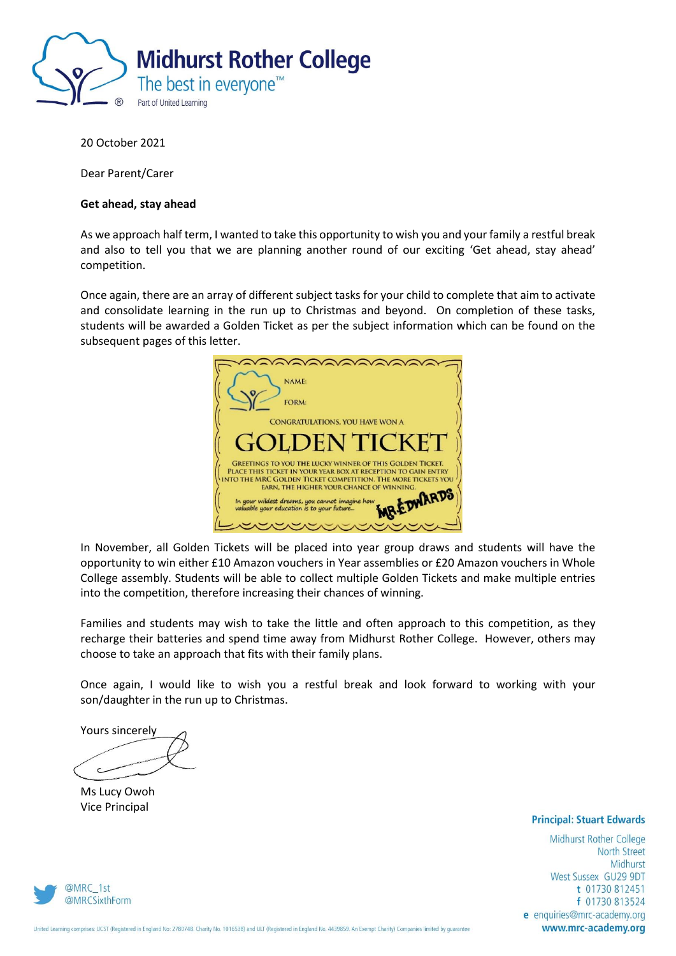

20 October 2021

Dear Parent/Carer

#### **Get ahead, stay ahead**

As we approach half term, I wanted to take this opportunity to wish you and your family a restful break and also to tell you that we are planning another round of our exciting 'Get ahead, stay ahead' competition.

Once again, there are an array of different subject tasks for your child to complete that aim to activate and consolidate learning in the run up to Christmas and beyond. On completion of these tasks, students will be awarded a Golden Ticket as per the subject information which can be found on the subsequent pages of this letter.



In November, all Golden Tickets will be placed into year group draws and students will have the opportunity to win either £10 Amazon vouchers in Year assemblies or £20 Amazon vouchers in Whole College assembly. Students will be able to collect multiple Golden Tickets and make multiple entries into the competition, therefore increasing their chances of winning.

Families and students may wish to take the little and often approach to this competition, as they recharge their batteries and spend time away from Midhurst Rother College. However, others may choose to take an approach that fits with their family plans.

Once again, I would like to wish you a restful break and look forward to working with your son/daughter in the run up to Christmas.

Yours sincerely

Ms Lucy Owoh Vice Principal

#### **Principal: Stuart Edwards**

Midhurst Rother College **North Street** Midhurst West Sussex GU29 9DT t 01730 812451 f 01730 813524 e enquiries@mrc-academy.org www.mrc-academy.org

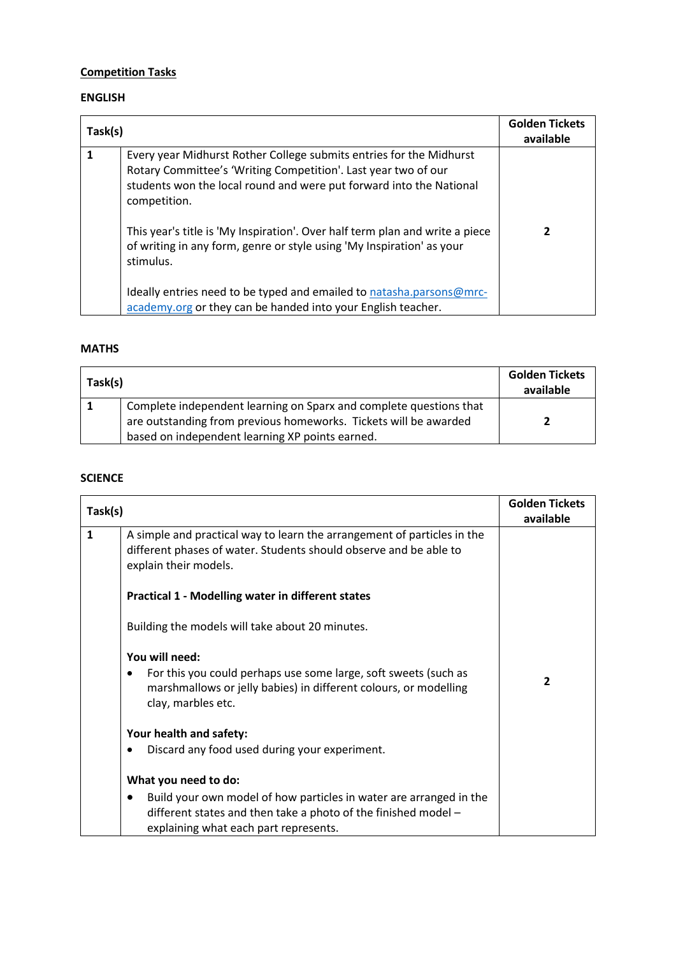# **Competition Tasks**

### **ENGLISH**

| Task(s) |                                                                                                                                                                                                                                                                                                                                                                                                    | <b>Golden Tickets</b><br>available |
|---------|----------------------------------------------------------------------------------------------------------------------------------------------------------------------------------------------------------------------------------------------------------------------------------------------------------------------------------------------------------------------------------------------------|------------------------------------|
| 1       | Every year Midhurst Rother College submits entries for the Midhurst<br>Rotary Committee's 'Writing Competition'. Last year two of our<br>students won the local round and were put forward into the National<br>competition.<br>This year's title is 'My Inspiration'. Over half term plan and write a piece<br>of writing in any form, genre or style using 'My Inspiration' as your<br>stimulus. | 2                                  |
|         | Ideally entries need to be typed and emailed to natasha.parsons@mrc-<br>academy.org or they can be handed into your English teacher.                                                                                                                                                                                                                                                               |                                    |

#### **MATHS**

| Task(s) |                                                                                                                                                                                           | <b>Golden Tickets</b><br>available |
|---------|-------------------------------------------------------------------------------------------------------------------------------------------------------------------------------------------|------------------------------------|
|         | Complete independent learning on Sparx and complete questions that<br>are outstanding from previous homeworks. Tickets will be awarded<br>based on independent learning XP points earned. |                                    |

### **SCIENCE**

| Task(s)      |                                                                                                                                                                               | <b>Golden Tickets</b><br>available |
|--------------|-------------------------------------------------------------------------------------------------------------------------------------------------------------------------------|------------------------------------|
| $\mathbf{1}$ | A simple and practical way to learn the arrangement of particles in the<br>different phases of water. Students should observe and be able to<br>explain their models.         |                                    |
|              | <b>Practical 1 - Modelling water in different states</b>                                                                                                                      |                                    |
|              | Building the models will take about 20 minutes.                                                                                                                               |                                    |
|              | You will need:                                                                                                                                                                |                                    |
|              | For this you could perhaps use some large, soft sweets (such as<br>marshmallows or jelly babies) in different colours, or modelling<br>clay, marbles etc.                     | $\overline{2}$                     |
|              | Your health and safety:                                                                                                                                                       |                                    |
|              | Discard any food used during your experiment.                                                                                                                                 |                                    |
|              | What you need to do:                                                                                                                                                          |                                    |
|              | Build your own model of how particles in water are arranged in the<br>different states and then take a photo of the finished model -<br>explaining what each part represents. |                                    |